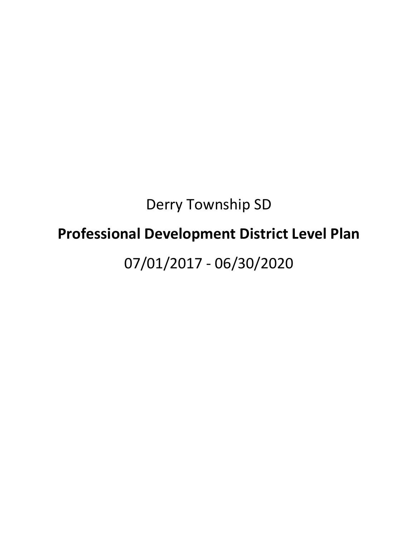# Derry Township SD **Professional Development District Level Plan** 07/01/2017 - 06/30/2020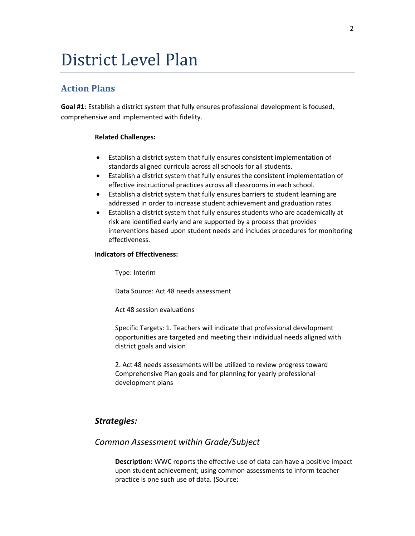# District Level Plan

# **Action Plans**

**Goal #1**: Establish a district system that fully ensures professional development is focused, comprehensive and implemented with fidelity.

#### **Related Challenges:**

- Establish a district system that fully ensures consistent implementation of standards aligned curricula across all schools for all students.
- Establish a district system that fully ensures the consistent implementation of effective instructional practices across all classrooms in each school.
- Establish a district system that fully ensures barriers to student learning are addressed in order to increase student achievement and graduation rates.
- Establish a district system that fully ensures students who are academically at risk are identified early and are supported by a process that provides interventions based upon student needs and includes procedures for monitoring effectiveness.

#### **Indicators of Effectiveness:**

Type: Interim

Data Source: Act 48 needs assessment

Act 48 session evaluations

Specific Targets: 1. Teachers will indicate that professional development opportunities are targeted and meeting their individual needs aligned with district goals and vision

2. Act 48 needs assessments will be utilized to review progress toward Comprehensive Plan goals and for planning for yearly professional development plans

# *Strategies:*

# *Common Assessment within Grade/Subject*

**Description:** WWC reports the effective use of data can have a positive impact upon student achievement; using common assessments to inform teacher practice is one such use of data. (Source: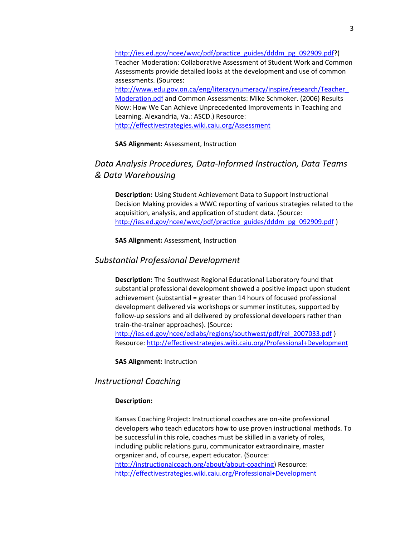[http://ies.ed.gov/ncee/wwc/pdf/practice\\_guides/dddm\\_pg\\_092909.pdf?](http://ies.ed.gov/ncee/wwc/pdf/practice_guides/dddm_pg_092909.pdf)) Teacher Moderation: Collaborative Assessment of Student Work and Common Assessments provide detailed looks at the development and use of common assessments. (Sources: [http://www.edu.gov.on.ca/eng/literacynumeracy/inspire/research/Teacher\\_](http://www.edu.gov.on.ca/eng/literacynumeracy/inspire/research/Teacher_Moderation.pdf) [Moderation.pdf](http://www.edu.gov.on.ca/eng/literacynumeracy/inspire/research/Teacher_Moderation.pdf) and Common Assessments: Mike Schmoker. (2006) Results Now: How We Can Achieve Unprecedented Improvements in Teaching and Learning. Alexandria, Va.: ASCD.) Resource: <http://effectivestrategies.wiki.caiu.org/Assessment>

**SAS Alignment:** Assessment, Instruction

# *Data Analysis Procedures, Data-Informed Instruction, Data Teams & Data Warehousing*

**Description:** Using Student Achievement Data to Support Instructional Decision Making provides a WWC reporting of various strategies related to the acquisition, analysis, and application of student data. (Source: [http://ies.ed.gov/ncee/wwc/pdf/practice\\_guides/dddm\\_pg\\_092909.pdf](http://ies.ed.gov/ncee/wwc/pdf/practice_guides/dddm_pg_092909.pdf))

**SAS Alignment:** Assessment, Instruction

### *Substantial Professional Development*

**Description:** The Southwest Regional Educational Laboratory found that substantial professional development showed a positive impact upon student achievement (substantial = greater than 14 hours of focused professional development delivered via workshops or summer institutes, supported by follow-up sessions and all delivered by professional developers rather than train-the-trainer approaches). (Source: [http://ies.ed.gov/ncee/edlabs/regions/southwest/pdf/rel\\_2007033.pdf](http://ies.ed.gov/ncee/edlabs/regions/southwest/pdf/rel_2007033.pdf) ) Resource[: http://effectivestrategies.wiki.caiu.org/Professional+Development](http://effectivestrategies.wiki.caiu.org/Professional+Development)

**SAS Alignment:** Instruction

#### *Instructional Coaching*

#### **Description:**

Kansas Coaching Project: Instructional coaches are on-site professional developers who teach educators how to use proven instructional methods. To be successful in this role, coaches must be skilled in a variety of roles, including public relations guru, communicator extraordinaire, master organizer and, of course, expert educator. (Source: [http://instructionalcoach.org/about/about-coaching\)](http://instructionalcoach.org/about/about-coaching) Resource: <http://effectivestrategies.wiki.caiu.org/Professional+Development>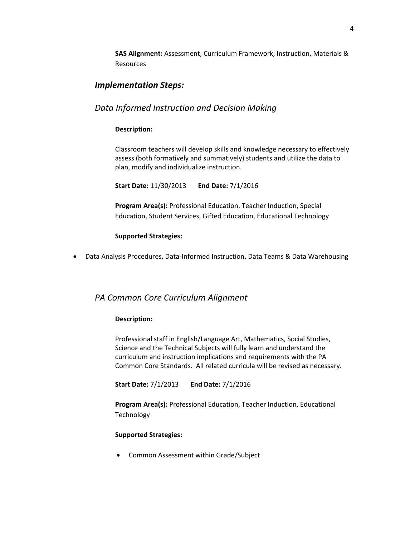**SAS Alignment:** Assessment, Curriculum Framework, Instruction, Materials & Resources

# *Implementation Steps:*

# *Data Informed Instruction and Decision Making*

#### **Description:**

Classroom teachers will develop skills and knowledge necessary to effectively assess (both formatively and summatively) students and utilize the data to plan, modify and individualize instruction.

**Start Date:** 11/30/2013 **End Date:** 7/1/2016

**Program Area(s):** Professional Education, Teacher Induction, Special Education, Student Services, Gifted Education, Educational Technology

#### **Supported Strategies:**

Data Analysis Procedures, Data-Informed Instruction, Data Teams & Data Warehousing

# *PA Common Core Curriculum Alignment*

#### **Description:**

Professional staff in English/Language Art, Mathematics, Social Studies, Science and the Technical Subjects will fully learn and understand the curriculum and instruction implications and requirements with the PA Common Core Standards. All related curricula will be revised as necessary.

**Start Date:** 7/1/2013 **End Date:** 7/1/2016

**Program Area(s):** Professional Education, Teacher Induction, Educational Technology

#### **Supported Strategies:**

Common Assessment within Grade/Subject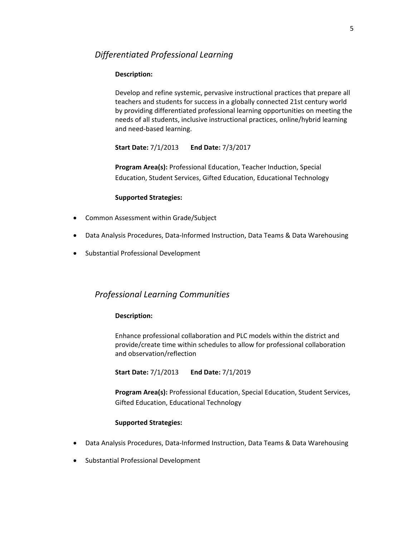# *Differentiated Professional Learning*

#### **Description:**

Develop and refine systemic, pervasive instructional practices that prepare all teachers and students for success in a globally connected 21st century world by providing differentiated professional learning opportunities on meeting the needs of all students, inclusive instructional practices, online/hybrid learning and need-based learning.

**Start Date:** 7/1/2013 **End Date:** 7/3/2017

**Program Area(s):** Professional Education, Teacher Induction, Special Education, Student Services, Gifted Education, Educational Technology

#### **Supported Strategies:**

- Common Assessment within Grade/Subject
- Data Analysis Procedures, Data-Informed Instruction, Data Teams & Data Warehousing
- Substantial Professional Development

# *Professional Learning Communities*

#### **Description:**

Enhance professional collaboration and PLC models within the district and provide/create time within schedules to allow for professional collaboration and observation/reflection

**Start Date:** 7/1/2013 **End Date:** 7/1/2019

**Program Area(s):** Professional Education, Special Education, Student Services, Gifted Education, Educational Technology

#### **Supported Strategies:**

- Data Analysis Procedures, Data-Informed Instruction, Data Teams & Data Warehousing
- Substantial Professional Development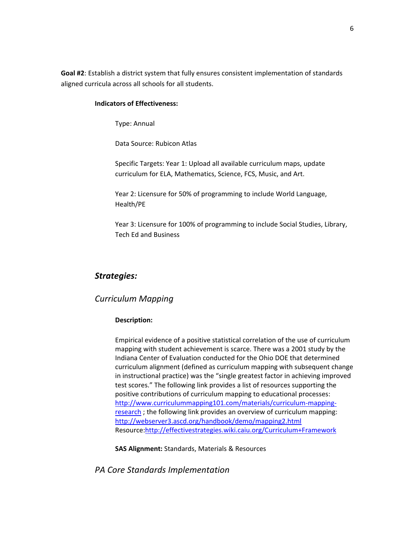**Goal #2**: Establish a district system that fully ensures consistent implementation of standards aligned curricula across all schools for all students.

#### **Indicators of Effectiveness:**

Type: Annual

Data Source: Rubicon Atlas

Specific Targets: Year 1: Upload all available curriculum maps, update curriculum for ELA, Mathematics, Science, FCS, Music, and Art.

Year 2: Licensure for 50% of programming to include World Language, Health/PE

Year 3: Licensure for 100% of programming to include Social Studies, Library, Tech Ed and Business

#### *Strategies:*

#### *Curriculum Mapping*

#### **Description:**

Empirical evidence of a positive statistical correlation of the use of curriculum mapping with student achievement is scarce. There was a 2001 study by the Indiana Center of Evaluation conducted for the Ohio DOE that determined curriculum alignment (defined as curriculum mapping with subsequent change in instructional practice) was the "single greatest factor in achieving improved test scores." The following link provides a list of resources supporting the positive contributions of curriculum mapping to educational processes: [http://www.curriculummapping101.com/materials/curriculum-mapping](http://www.curriculummapping101.com/materials/curriculum-mapping-research)[research](http://www.curriculummapping101.com/materials/curriculum-mapping-research) ; the following link provides an overview of curriculum mapping: <http://webserver3.ascd.org/handbook/demo/mapping2.html> Resource[:http://effectivestrategies.wiki.caiu.org/Curriculum+Framework](http://effectivestrategies.wiki.caiu.org/Curriculum+Framework) 

**SAS Alignment:** Standards, Materials & Resources

*PA Core Standards Implementation*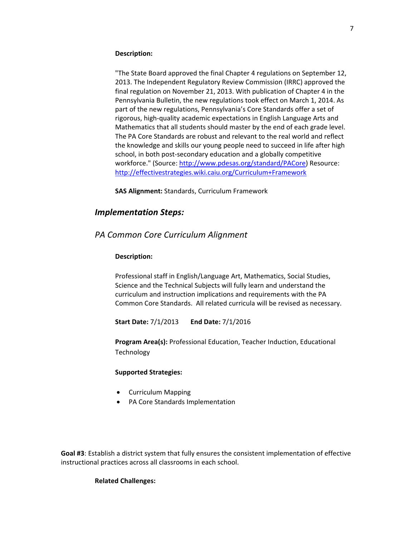#### **Description:**

"The State Board approved the final Chapter 4 regulations on September 12, 2013. The Independent Regulatory Review Commission (IRRC) approved the final regulation on November 21, 2013. With publication of Chapter 4 in the Pennsylvania Bulletin, the new regulations took effect on March 1, 2014. As part of the new regulations, Pennsylvania's Core Standards offer a set of rigorous, high-quality academic expectations in English Language Arts and Mathematics that all students should master by the end of each grade level. The PA Core Standards are robust and relevant to the real world and reflect the knowledge and skills our young people need to succeed in life after high school, in both post-secondary education and a globally competitive workforce." (Source[: http://www.pdesas.org/standard/PACore\)](http://www.pdesas.org/standard/PACore) Resource: <http://effectivestrategies.wiki.caiu.org/Curriculum+Framework>

**SAS Alignment:** Standards, Curriculum Framework

#### *Implementation Steps:*

#### *PA Common Core Curriculum Alignment*

#### **Description:**

Professional staff in English/Language Art, Mathematics, Social Studies, Science and the Technical Subjects will fully learn and understand the curriculum and instruction implications and requirements with the PA Common Core Standards. All related curricula will be revised as necessary.

**Start Date:** 7/1/2013 **End Date:** 7/1/2016

**Program Area(s):** Professional Education, Teacher Induction, Educational **Technology** 

#### **Supported Strategies:**

- Curriculum Mapping
- PA Core Standards Implementation

**Goal #3**: Establish a district system that fully ensures the consistent implementation of effective instructional practices across all classrooms in each school.

#### **Related Challenges:**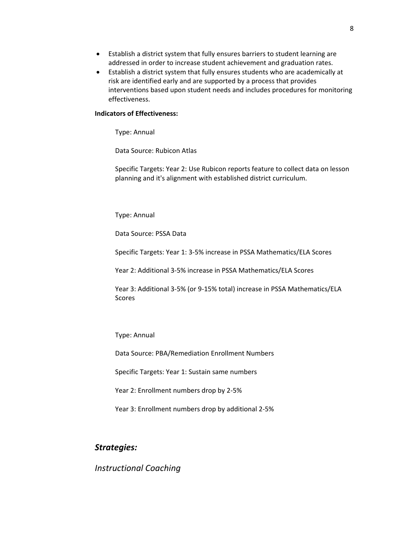- Establish a district system that fully ensures barriers to student learning are addressed in order to increase student achievement and graduation rates.
- Establish a district system that fully ensures students who are academically at risk are identified early and are supported by a process that provides interventions based upon student needs and includes procedures for monitoring effectiveness.

#### **Indicators of Effectiveness:**

Type: Annual

Data Source: Rubicon Atlas

Specific Targets: Year 2: Use Rubicon reports feature to collect data on lesson planning and it's alignment with established district curriculum.

#### Type: Annual

Data Source: PSSA Data

Specific Targets: Year 1: 3-5% increase in PSSA Mathematics/ELA Scores

Year 2: Additional 3-5% increase in PSSA Mathematics/ELA Scores

Year 3: Additional 3-5% (or 9-15% total) increase in PSSA Mathematics/ELA Scores

Type: Annual

Data Source: PBA/Remediation Enrollment Numbers

Specific Targets: Year 1: Sustain same numbers

Year 2: Enrollment numbers drop by 2-5%

Year 3: Enrollment numbers drop by additional 2-5%

## *Strategies:*

*Instructional Coaching*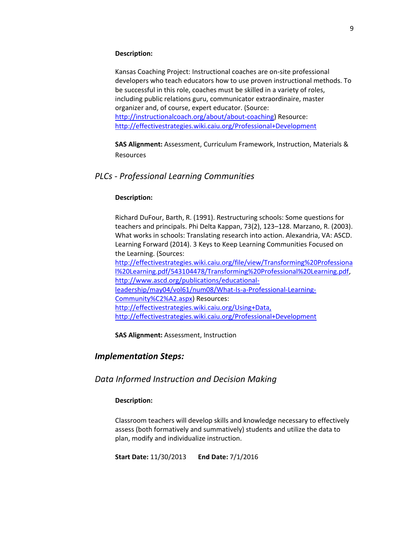#### **Description:**

Kansas Coaching Project: Instructional coaches are on-site professional developers who teach educators how to use proven instructional methods. To be successful in this role, coaches must be skilled in a variety of roles, including public relations guru, communicator extraordinaire, master organizer and, of course, expert educator. (Source: [http://instructionalcoach.org/about/about-coaching\)](http://instructionalcoach.org/about/about-coaching) Resource: <http://effectivestrategies.wiki.caiu.org/Professional+Development>

**SAS Alignment:** Assessment, Curriculum Framework, Instruction, Materials & Resources

## *PLCs - Professional Learning Communities*

#### **Description:**

Richard DuFour, Barth, R. (1991). Restructuring schools: Some questions for teachers and principals. Phi Delta Kappan, 73(2), 123–128. Marzano, R. (2003). What works in schools: Translating research into action. Alexandria, VA: ASCD. Learning Forward (2014). 3 Keys to Keep Learning Communities Focused on the Learning. (Sources: [http://effectivestrategies.wiki.caiu.org/file/view/Transforming%20Professiona](http://effectivestrategies.wiki.caiu.org/file/view/Transforming%20Professional%20Learning.pdf/543104478/Transforming%20Professional%20Learning.pdf) [l%20Learning.pdf/543104478/Transforming%20Professional%20Learning.pdf,](http://effectivestrategies.wiki.caiu.org/file/view/Transforming%20Professional%20Learning.pdf/543104478/Transforming%20Professional%20Learning.pdf) [http://www.ascd.org/publications/educational](http://www.ascd.org/publications/educational-leadership/may04/vol61/num08/What-Is-a-Professional-Learning-Community%C2%A2.aspx)[leadership/may04/vol61/num08/What-Is-a-Professional-Learning-](http://www.ascd.org/publications/educational-leadership/may04/vol61/num08/What-Is-a-Professional-Learning-Community%C2%A2.aspx)

[Community%C2%A2.aspx\)](http://www.ascd.org/publications/educational-leadership/may04/vol61/num08/What-Is-a-Professional-Learning-Community%C2%A2.aspx) Resources:

[http://effectivestrategies.wiki.caiu.org/Using+Data,](http://effectivestrategies.wiki.caiu.org/Using+Data,%20http:/effectivestrategies.wiki.caiu.org/Professional+Development) 

[http://effectivestrategies.wiki.caiu.org/Professional+Development](http://effectivestrategies.wiki.caiu.org/Using+Data,%20http:/effectivestrategies.wiki.caiu.org/Professional+Development)

**SAS Alignment:** Assessment, Instruction

#### *Implementation Steps:*

*Data Informed Instruction and Decision Making*

#### **Description:**

Classroom teachers will develop skills and knowledge necessary to effectively assess (both formatively and summatively) students and utilize the data to plan, modify and individualize instruction.

**Start Date:** 11/30/2013 **End Date:** 7/1/2016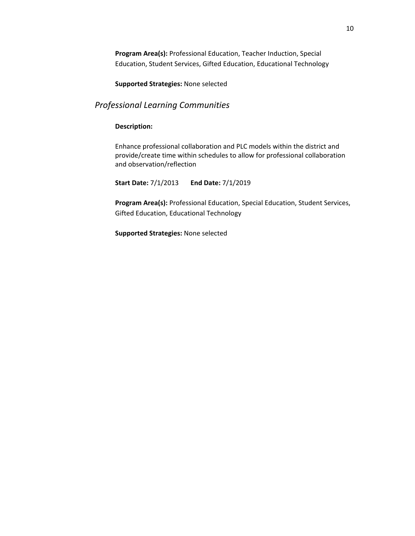**Program Area(s):** Professional Education, Teacher Induction, Special Education, Student Services, Gifted Education, Educational Technology

**Supported Strategies:** None selected

# *Professional Learning Communities*

#### **Description:**

Enhance professional collaboration and PLC models within the district and provide/create time within schedules to allow for professional collaboration and observation/reflection

**Start Date:** 7/1/2013 **End Date:** 7/1/2019

**Program Area(s):** Professional Education, Special Education, Student Services, Gifted Education, Educational Technology

**Supported Strategies:** None selected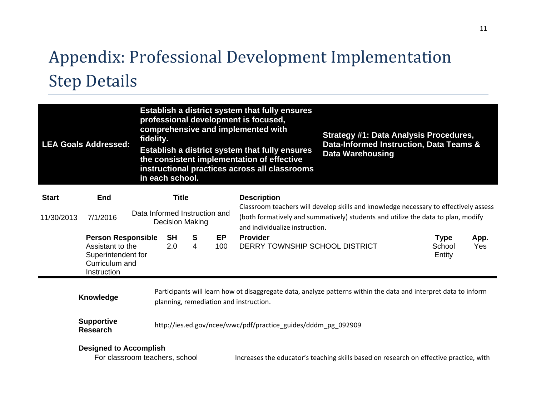# Appendix: Professional Development Implementation Step Details

| <b>LEA Goals Addressed:</b>         | fidelity.                                                                                            | in each school. |                  |                                                                                                                    | Establish a district system that fully ensures<br>professional development is focused,<br>comprehensive and implemented with<br>Establish a district system that fully ensures<br>the consistent implementation of effective<br>instructional practices across all classrooms | <b>Strategy #1: Data Analysis Procedures,</b><br>Data-Informed Instruction, Data Teams &<br><b>Data Warehousing</b> |                                                                                                                 |                                 |                    |  |  |
|-------------------------------------|------------------------------------------------------------------------------------------------------|-----------------|------------------|--------------------------------------------------------------------------------------------------------------------|-------------------------------------------------------------------------------------------------------------------------------------------------------------------------------------------------------------------------------------------------------------------------------|---------------------------------------------------------------------------------------------------------------------|-----------------------------------------------------------------------------------------------------------------|---------------------------------|--------------------|--|--|
| <b>Title</b><br><b>Start</b><br>End |                                                                                                      |                 |                  |                                                                                                                    | <b>Description</b><br>Classroom teachers will develop skills and knowledge necessary to effectively assess                                                                                                                                                                    |                                                                                                                     |                                                                                                                 |                                 |                    |  |  |
| 11/30/2013                          | Data Informed Instruction and<br>7/1/2016<br><b>Decision Making</b>                                  |                 |                  | (both formatively and summatively) students and utilize the data to plan, modify<br>and individualize instruction. |                                                                                                                                                                                                                                                                               |                                                                                                                     |                                                                                                                 |                                 |                    |  |  |
|                                     | <b>Person Responsible</b><br>Assistant to the<br>Superintendent for<br>Curriculum and<br>Instruction |                 | <b>SH</b><br>2.0 | <b>S</b><br>4                                                                                                      | EP<br>100                                                                                                                                                                                                                                                                     | <b>Provider</b><br>DERRY TOWNSHIP SCHOOL DISTRICT                                                                   |                                                                                                                 | <b>Type</b><br>School<br>Entity | App.<br><b>Yes</b> |  |  |
|                                     | Knowledge                                                                                            |                 |                  |                                                                                                                    |                                                                                                                                                                                                                                                                               | planning, remediation and instruction.                                                                              | Participants will learn how ot disaggregate data, analyze patterns within the data and interpret data to inform |                                 |                    |  |  |

**Supportive Research** http://ies.ed.gov/ncee/wwc/pdf/practice\_guides/dddm\_pg\_092909

For classroom teachers, school **Increases the educator's teaching skills based on research on effective practice, with**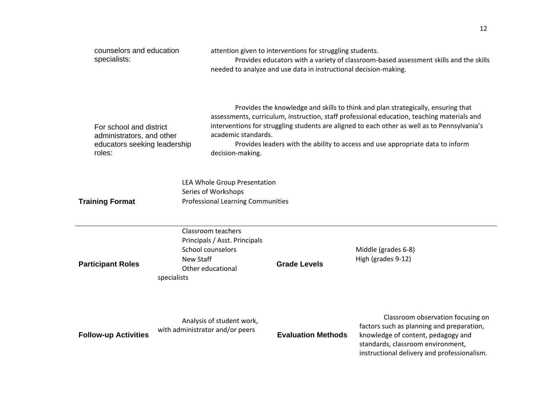| counselors and education<br>specialists:                                                       |                                 |                                                                                                 | attention given to interventions for struggling students.<br>needed to analyze and use data in instructional decision-making. | Provides educators with a variety of classroom-based assessment skills and the skills                                                                                                                                                                                                                                                                            |
|------------------------------------------------------------------------------------------------|---------------------------------|-------------------------------------------------------------------------------------------------|-------------------------------------------------------------------------------------------------------------------------------|------------------------------------------------------------------------------------------------------------------------------------------------------------------------------------------------------------------------------------------------------------------------------------------------------------------------------------------------------------------|
| For school and district<br>administrators, and other<br>educators seeking leadership<br>roles: |                                 | academic standards.<br>decision-making.                                                         |                                                                                                                               | Provides the knowledge and skills to think and plan strategically, ensuring that<br>assessments, curriculum, instruction, staff professional education, teaching materials and<br>interventions for struggling students are aligned to each other as well as to Pennsylvania's<br>Provides leaders with the ability to access and use appropriate data to inform |
| <b>Training Format</b>                                                                         |                                 | LEA Whole Group Presentation<br>Series of Workshops<br><b>Professional Learning Communities</b> |                                                                                                                               |                                                                                                                                                                                                                                                                                                                                                                  |
| <b>Participant Roles</b>                                                                       | <b>New Staff</b><br>specialists | Classroom teachers<br>Principals / Asst. Principals<br>School counselors<br>Other educational   | <b>Grade Levels</b>                                                                                                           | Middle (grades 6-8)<br>High (grades 9-12)                                                                                                                                                                                                                                                                                                                        |
| <b>Follow-up Activities</b>                                                                    |                                 | Analysis of student work,<br>with administrator and/or peers                                    | <b>Evaluation Methods</b>                                                                                                     | Classroom observation focusing on<br>factors such as planning and preparation,<br>knowledge of content, pedagogy and<br>standards, classroom environment,<br>instructional delivery and professionalism.                                                                                                                                                         |

 $\mathcal{L}$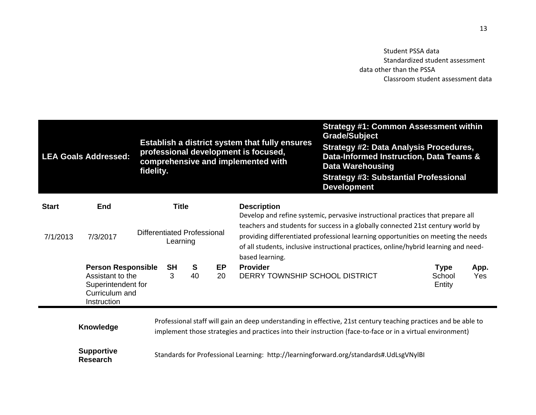Student PSSA data Standardized student assessment data other than the PSSA Classroom student assessment data

| <b>LEA Goals Addressed:</b>          |                                                                                                      | fidelity. |                                         |         |          | Establish a district system that fully ensures<br>professional development is focused,<br>comprehensive and implemented with                                                                                                                                                    | <b>Strategy #1: Common Assessment within</b><br><b>Grade/Subject</b><br><b>Strategy #2: Data Analysis Procedures,</b><br>Data-Informed Instruction, Data Teams &<br><b>Data Warehousing</b><br><b>Strategy #3: Substantial Professional</b><br><b>Development</b> |                                 |             |  |  |
|--------------------------------------|------------------------------------------------------------------------------------------------------|-----------|-----------------------------------------|---------|----------|---------------------------------------------------------------------------------------------------------------------------------------------------------------------------------------------------------------------------------------------------------------------------------|-------------------------------------------------------------------------------------------------------------------------------------------------------------------------------------------------------------------------------------------------------------------|---------------------------------|-------------|--|--|
| <b>Start</b>                         | End                                                                                                  |           | <b>Title</b>                            |         |          | <b>Description</b><br>Develop and refine systemic, pervasive instructional practices that prepare all                                                                                                                                                                           |                                                                                                                                                                                                                                                                   |                                 |             |  |  |
| 7/1/2013                             | 7/3/2017                                                                                             |           | Differentiated Professional<br>Learning |         |          | teachers and students for success in a globally connected 21st century world by<br>providing differentiated professional learning opportunities on meeting the needs<br>of all students, inclusive instructional practices, online/hybrid learning and need-<br>based learning. |                                                                                                                                                                                                                                                                   |                                 |             |  |  |
|                                      | <b>Person Responsible</b><br>Assistant to the<br>Superintendent for<br>Curriculum and<br>Instruction |           | <b>SH</b><br>3                          | S<br>40 | EP<br>20 | <b>Provider</b><br>DERRY TOWNSHIP SCHOOL DISTRICT                                                                                                                                                                                                                               |                                                                                                                                                                                                                                                                   | <b>Type</b><br>School<br>Entity | App.<br>Yes |  |  |
| Knowledge                            |                                                                                                      |           |                                         |         |          |                                                                                                                                                                                                                                                                                 | Professional staff will gain an deep understanding in effective, 21st century teaching practices and be able to<br>implement those strategies and practices into their instruction (face-to-face or in a virtual environment)                                     |                                 |             |  |  |
| <b>Supportive</b><br><b>Research</b> |                                                                                                      |           |                                         |         |          |                                                                                                                                                                                                                                                                                 | Standards for Professional Learning: http://learningforward.org/standards#.UdLsgVNylBI                                                                                                                                                                            |                                 |             |  |  |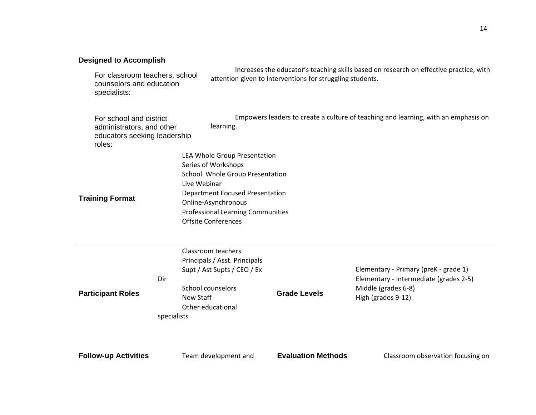| <b>Designed to Accomplish</b>                                                                  |                                        |                                                                                                                                                                                                                                                   |                           |                                                                                                                              |  |  |  |  |  |
|------------------------------------------------------------------------------------------------|----------------------------------------|---------------------------------------------------------------------------------------------------------------------------------------------------------------------------------------------------------------------------------------------------|---------------------------|------------------------------------------------------------------------------------------------------------------------------|--|--|--|--|--|
| For classroom teachers, school<br>counselors and education<br>specialists:                     |                                        | Increases the educator's teaching skills based on research on effective practice, with<br>attention given to interventions for struggling students.                                                                                               |                           |                                                                                                                              |  |  |  |  |  |
| For school and district<br>administrators, and other<br>educators seeking leadership<br>roles: |                                        | Empowers leaders to create a culture of teaching and learning, with an emphasis on<br>learning.                                                                                                                                                   |                           |                                                                                                                              |  |  |  |  |  |
| <b>Training Format</b>                                                                         |                                        | LEA Whole Group Presentation<br>Series of Workshops<br>School Whole Group Presentation<br>Live Webinar<br><b>Department Focused Presentation</b><br>Online-Asynchronous<br><b>Professional Learning Communities</b><br><b>Offsite Conferences</b> |                           |                                                                                                                              |  |  |  |  |  |
| <b>Participant Roles</b>                                                                       | Dir<br><b>New Staff</b><br>specialists | Classroom teachers<br>Principals / Asst. Principals<br>Supt / Ast Supts / CEO / Ex<br>School counselors<br>Other educational                                                                                                                      | <b>Grade Levels</b>       | Elementary - Primary (preK - grade 1)<br>Elementary - Intermediate (grades 2-5)<br>Middle (grades 6-8)<br>High (grades 9-12) |  |  |  |  |  |
| <b>Follow-up Activities</b>                                                                    |                                        | Team development and                                                                                                                                                                                                                              | <b>Evaluation Methods</b> | Classroom observation focusing on                                                                                            |  |  |  |  |  |

14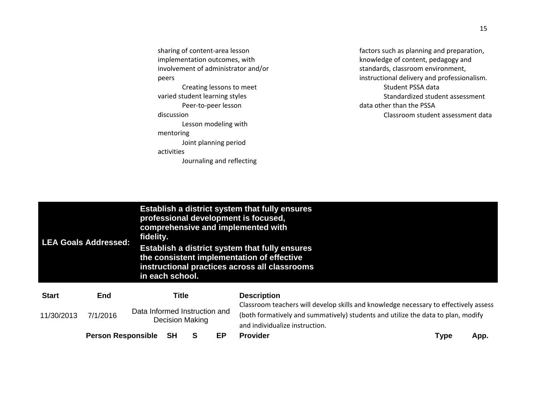sharing of content-area lesson implementation outcomes, with involvement of administrator and/or peers Creating lessons to meet varied student learning styles Peer-to-peer lesson discussion Lesson modeling with mentoring Joint planning period activities Journaling and reflecting

factors such as planning and preparation, knowledge of content, pedagogy and standards, classroom environment, instructional delivery and professionalism. Student PSSA data Standardized student assessment data other than the PSSA Classroom student assessment data

|              | <b>LEA Goals Addressed:</b> | fidelity.                                                                                                                                                                     | Establish a district system that fully ensures<br>professional development is focused,<br>comprehensive and implemented with<br>Establish a district system that fully ensures<br>the consistent implementation of effective<br>instructional practices across all classrooms<br>in each school. |    |                                                                                                            |             |      |  |  |  |  |  |  |
|--------------|-----------------------------|-------------------------------------------------------------------------------------------------------------------------------------------------------------------------------|--------------------------------------------------------------------------------------------------------------------------------------------------------------------------------------------------------------------------------------------------------------------------------------------------|----|------------------------------------------------------------------------------------------------------------|-------------|------|--|--|--|--|--|--|
| <b>Start</b> | <b>End</b>                  | <b>Title</b>                                                                                                                                                                  |                                                                                                                                                                                                                                                                                                  |    | <b>Description</b><br>Classroom teachers will develop skills and knowledge necessary to effectively assess |             |      |  |  |  |  |  |  |
| 11/30/2013   | 7/1/2016                    | Data Informed Instruction and<br>(both formatively and summatively) students and utilize the data to plan, modify<br><b>Decision Making</b><br>and individualize instruction. |                                                                                                                                                                                                                                                                                                  |    |                                                                                                            |             |      |  |  |  |  |  |  |
|              | <b>Person Responsible</b>   | SН                                                                                                                                                                            | S                                                                                                                                                                                                                                                                                                | EP | <b>Provider</b>                                                                                            | <b>Type</b> | App. |  |  |  |  |  |  |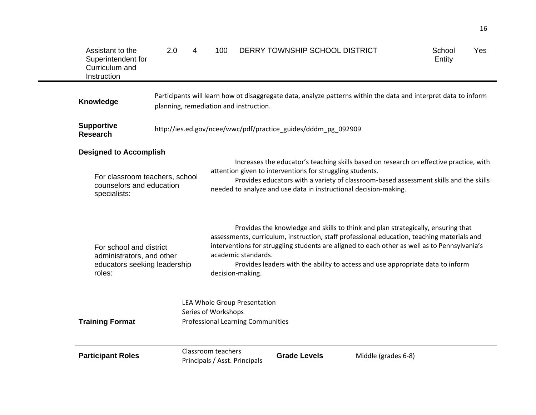| Assistant to the<br>Superintendent for<br>Curriculum and<br>Instruction                                     | 2.0 | 4 | 100                                                                                                                                                                                                                                                                                                              |                                         | DERRY TOWNSHIP SCHOOL DISTRICT                                |                                                                                                                                                                                                                                                                                                                                                                  | School<br>Entity | Yes |
|-------------------------------------------------------------------------------------------------------------|-----|---|------------------------------------------------------------------------------------------------------------------------------------------------------------------------------------------------------------------------------------------------------------------------------------------------------------------|-----------------------------------------|---------------------------------------------------------------|------------------------------------------------------------------------------------------------------------------------------------------------------------------------------------------------------------------------------------------------------------------------------------------------------------------------------------------------------------------|------------------|-----|
| <b>Knowledge</b>                                                                                            |     |   |                                                                                                                                                                                                                                                                                                                  | planning, remediation and instruction.  |                                                               | Participants will learn how ot disaggregate data, analyze patterns within the data and interpret data to inform                                                                                                                                                                                                                                                  |                  |     |
| <b>Supportive</b><br><b>Research</b>                                                                        |     |   |                                                                                                                                                                                                                                                                                                                  |                                         | http://ies.ed.gov/ncee/wwc/pdf/practice_guides/dddm_pg_092909 |                                                                                                                                                                                                                                                                                                                                                                  |                  |     |
| <b>Designed to Accomplish</b><br>For classroom teachers, school<br>counselors and education<br>specialists: |     |   | Increases the educator's teaching skills based on research on effective practice, with<br>attention given to interventions for struggling students.<br>Provides educators with a variety of classroom-based assessment skills and the skills<br>needed to analyze and use data in instructional decision-making. |                                         |                                                               |                                                                                                                                                                                                                                                                                                                                                                  |                  |     |
| For school and district<br>administrators, and other<br>educators seeking leadership<br>roles:              |     |   |                                                                                                                                                                                                                                                                                                                  | academic standards.<br>decision-making. |                                                               | Provides the knowledge and skills to think and plan strategically, ensuring that<br>assessments, curriculum, instruction, staff professional education, teaching materials and<br>interventions for struggling students are aligned to each other as well as to Pennsylvania's<br>Provides leaders with the ability to access and use appropriate data to inform |                  |     |
| <b>Training Format</b>                                                                                      |     |   | LEA Whole Group Presentation<br>Series of Workshops<br><b>Professional Learning Communities</b>                                                                                                                                                                                                                  |                                         |                                                               |                                                                                                                                                                                                                                                                                                                                                                  |                  |     |
| <b>Participant Roles</b>                                                                                    |     |   | Classroom teachers                                                                                                                                                                                                                                                                                               | Principals / Asst. Principals           | <b>Grade Levels</b>                                           | Middle (grades 6-8)                                                                                                                                                                                                                                                                                                                                              |                  |     |

 $\mathbf{r}$ 

16